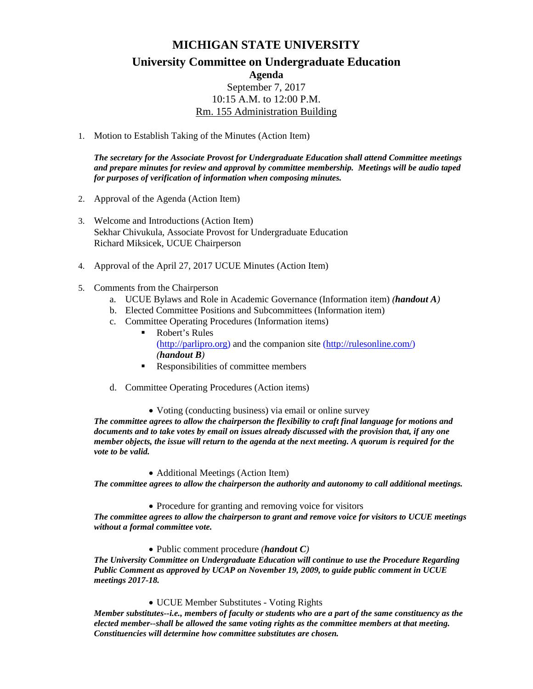## **MICHIGAN STATE UNIVERSITY**

**University Committee on Undergraduate Education**

**Agenda** September 7, 2017 10:15 A.M. to 12:00 P.M.

Rm. 155 Administration Building

1. Motion to Establish Taking of the Minutes (Action Item)

*The secretary for the Associate Provost for Undergraduate Education shall attend Committee meetings and prepare minutes for review and approval by committee membership. Meetings will be audio taped for purposes of verification of information when composing minutes.*

- 2. Approval of the Agenda (Action Item)
- 3. Welcome and Introductions (Action Item) Sekhar Chivukula, Associate Provost for Undergraduate Education Richard Miksicek, UCUE Chairperson
- 4. Approval of the April 27, 2017 UCUE Minutes (Action Item)
- 5. Comments from the Chairperson
	- a. UCUE Bylaws and Role in Academic Governance (Information item) *(handout A)*
	- b. Elected Committee Positions and Subcommittees (Information item)
	- c. Committee Operating Procedures (Information items)
		- Robert's Rules [\(http://parlipro.org\)](http://parlipro.org/) and the companion site [\(http://rulesonline.com/\)](http://rulesonline.com/) *(handout B)*
		- Responsibilities of committee members
	- d. Committee Operating Procedures (Action items)

• Voting (conducting business) via email or online survey

*The committee agrees to allow the chairperson the flexibility to craft final language for motions and documents and to take votes by email on issues already discussed with the provision that, if any one member objects, the issue will return to the agenda at the next meeting. A quorum is required for the vote to be valid.*

• Additional Meetings (Action Item)

*The committee agrees to allow the chairperson the authority and autonomy to call additional meetings.*

• Procedure for granting and removing voice for visitors

*The committee agrees to allow the chairperson to grant and remove voice for visitors to UCUE meetings without a formal committee vote.*

• Public comment procedure *(handout C)*

*The University Committee on Undergraduate Education will continue to use the Procedure Regarding Public Comment as approved by UCAP on November 19, 2009, to guide public comment in UCUE meetings 2017-18.*

• UCUE Member Substitutes - Voting Rights

*Member substitutes--i.e., members of faculty or students who are a part of the same constituency as the elected member--shall be allowed the same voting rights as the committee members at that meeting. Constituencies will determine how committee substitutes are chosen.*